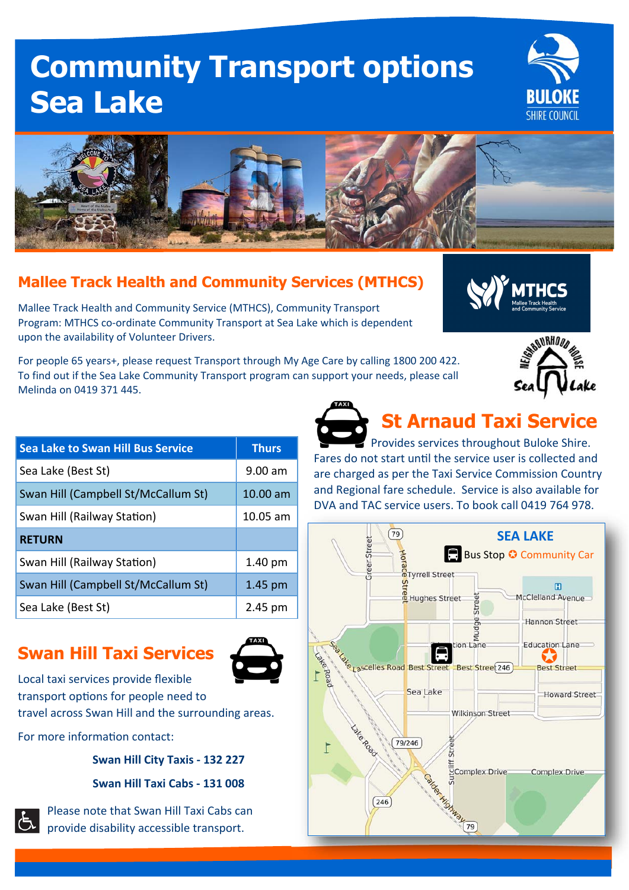# **Community Transport options Sea Lake**





#### **Mallee Track Health and Community Services (MTHCS)**

Mallee Track Health and Community Service (MTHCS), Community Transport Program: MTHCS co-ordinate Community Transport at Sea Lake which is dependent upon the availability of Volunteer Drivers.

For people 65 years+, please request Transport through My Age Care by calling 1800 200 422. To find out if the Sea Lake Community Transport program can support your needs, please call Melinda on 0419 371 445.





| <b>Sea Lake to Swan Hill Bus Service</b> | <b>Thurs</b> |
|------------------------------------------|--------------|
| Sea Lake (Best St)                       | $9.00$ am    |
| Swan Hill (Campbell St/McCallum St)      | $10.00$ am   |
| Swan Hill (Railway Station)              | $10.05$ am   |
| <b>RETURN</b>                            |              |
| Swan Hill (Railway Station)              | 1.40 pm      |
| Swan Hill (Campbell St/McCallum St)      | $1.45$ pm    |
| Sea Lake (Best St)                       | 2.45 pm      |

### **Swan Hill Taxi Services**



Local taxi services provide flexible transport options for people need to travel across Swan Hill and the surrounding areas.

For more information contact:

**Swan Hill City Taxis ‐ 132 227** 

**Swan Hill Taxi Cabs ‐ 131 008** 



Please note that Swan Hill Taxi Cabs can provide disability accessible transport.

**St Arnaud Taxi Service**  Provides services throughout Buloke Shire.

Fares do not start until the service user is collected and are charged as per the Taxi Service Commission Country and Regional fare schedule. Service is also available for DVA and TAC service users. To book call 0419 764 978.